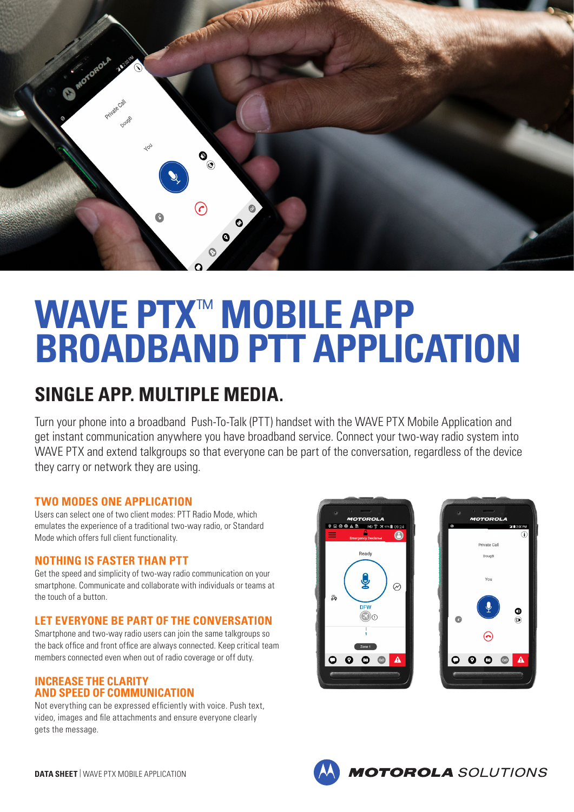

# **WAVE PTX**™ **MOBILE APP BROADBAND PTT APPLICATION**

# **SINGLE APP. MULTIPLE MEDIA.**

Turn your phone into a broadband Push-To-Talk (PTT) handset with the WAVE PTX Mobile Application and get instant communication anywhere you have broadband service. Connect your two-way radio system into WAVE PTX and extend talkgroups so that everyone can be part of the conversation, regardless of the device they carry or network they are using.

# **TWO MODES ONE APPLICATION**

Users can select one of two client modes: PTT Radio Mode, which emulates the experience of a traditional two-way radio, or Standard Mode which offers full client functionality.

# **NOTHING IS FASTER THAN PTT**

Get the speed and simplicity of two-way radio communication on your smartphone. Communicate and collaborate with individuals or teams at the touch of a button.

# **LET EVERYONE BE PART OF THE CONVERSATION**

Smartphone and two-way radio users can join the same talkgroups so the back office and front office are always connected. Keep critical team members connected even when out of radio coverage or off duty.

#### **INCREASE THE CLARITY AND SPEED OF COMMUNICATION**

Not everything can be expressed efficiently with voice. Push text, video, images and file attachments and ensure everyone clearly gets the message.